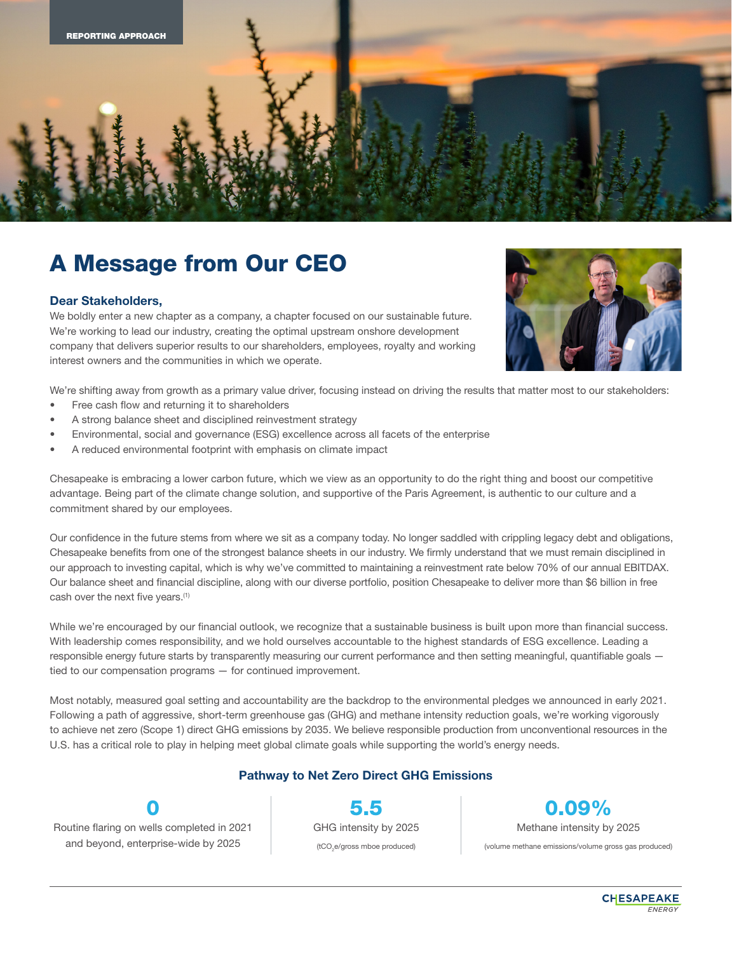

## A Message from Our CEO

## Dear Stakeholders,

We boldly enter a new chapter as a company, a chapter focused on our sustainable future. We're working to lead our industry, creating the optimal upstream onshore development company that delivers superior results to our shareholders, employees, royalty and working interest owners and the communities in which we operate.



We're shifting away from growth as a primary value driver, focusing instead on driving the results that matter most to our stakeholders:

- Free cash flow and returning it to shareholders
- A strong balance sheet and disciplined reinvestment strategy
- Environmental, social and governance (ESG) excellence across all facets of the enterprise
- A reduced environmental footprint with emphasis on climate impact

Chesapeake is embracing a lower carbon future, which we view as an opportunity to do the right thing and boost our competitive advantage. Being part of the climate change solution, and supportive of the Paris Agreement, is authentic to our culture and a commitment shared by our employees.

Our confidence in the future stems from where we sit as a company today. No longer saddled with crippling legacy debt and obligations, Chesapeake benefits from one of the strongest balance sheets in our industry. We firmly understand that we must remain disciplined in our approach to investing capital, which is why we've committed to maintaining a reinvestment rate below 70% of our annual EBITDAX. Our balance sheet and financial discipline, along with our diverse portfolio, position Chesapeake to deliver more than \$6 billion in free cash over the next five years.<sup>(1)</sup>

While we're encouraged by our financial outlook, we recognize that a sustainable business is built upon more than financial success. With leadership comes responsibility, and we hold ourselves accountable to the highest standards of ESG excellence. Leading a responsible energy future starts by transparently measuring our current performance and then setting meaningful, quantifiable goals tied to our compensation programs — for continued improvement.

Most notably, measured goal setting and accountability are the backdrop to the environmental pledges we announced in early 2021. Following a path of aggressive, short-term greenhouse gas (GHG) and methane intensity reduction goals, we're working vigorously to achieve net zero (Scope 1) direct GHG emissions by 2035. We believe responsible production from unconventional resources in the U.S. has a critical role to play in helping meet global climate goals while supporting the world's energy needs.

## Pathway to Net Zero Direct GHG Emissions

Routine flaring on wells completed in 2021 and beyond, enterprise-wide by 2025

0

5.5 GHG intensity by 2025 (tCO<sub>2</sub>e/gross mboe produced)

0.09% Methane intensity by 2025

(volume methane emissions/volume gross gas produced)